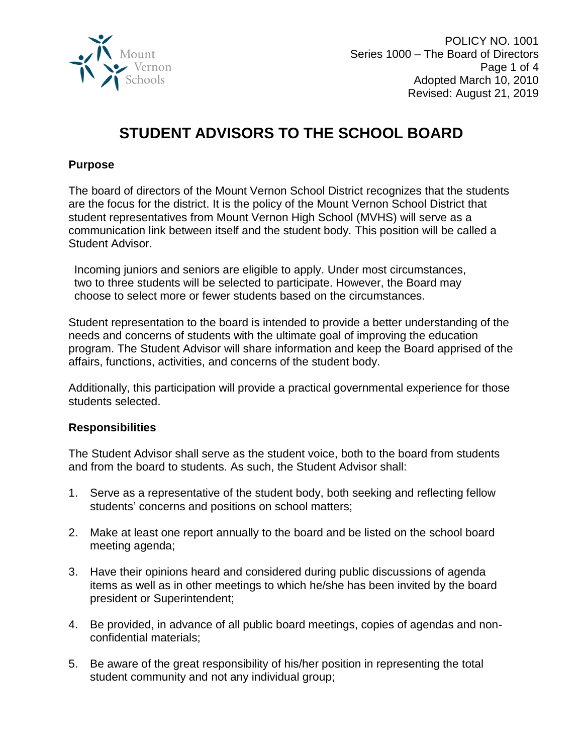

POLICY NO. 1001 Series 1000 – The Board of Directors Page 1 of 4 Adopted March 10, 2010 Revised: August 21, 2019

# **STUDENT ADVISORS TO THE SCHOOL BOARD**

## **Purpose**

The board of directors of the Mount Vernon School District recognizes that the students are the focus for the district. It is the policy of the Mount Vernon School District that student representatives from Mount Vernon High School (MVHS) will serve as a communication link between itself and the student body. This position will be called a Student Advisor.

Incoming juniors and seniors are eligible to apply. Under most circumstances, two to three students will be selected to participate. However, the Board may choose to select more or fewer students based on the circumstances.

Student representation to the board is intended to provide a better understanding of the needs and concerns of students with the ultimate goal of improving the education program. The Student Advisor will share information and keep the Board apprised of the affairs, functions, activities, and concerns of the student body.

Additionally, this participation will provide a practical governmental experience for those students selected.

#### **Responsibilities**

The Student Advisor shall serve as the student voice, both to the board from students and from the board to students. As such, the Student Advisor shall:

- 1. Serve as a representative of the student body, both seeking and reflecting fellow students' concerns and positions on school matters;
- 2. Make at least one report annually to the board and be listed on the school board meeting agenda;
- 3. Have their opinions heard and considered during public discussions of agenda items as well as in other meetings to which he/she has been invited by the board president or Superintendent;
- 4. Be provided, in advance of all public board meetings, copies of agendas and nonconfidential materials;
- 5. Be aware of the great responsibility of his/her position in representing the total student community and not any individual group;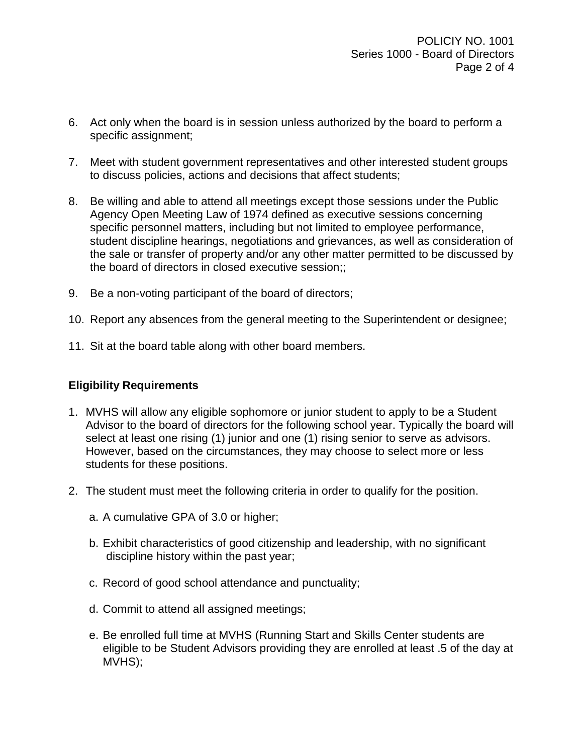- 6. Act only when the board is in session unless authorized by the board to perform a specific assignment;
- 7. Meet with student government representatives and other interested student groups to discuss policies, actions and decisions that affect students;
- 8. Be willing and able to attend all meetings except those sessions under the Public Agency Open Meeting Law of 1974 defined as executive sessions concerning specific personnel matters, including but not limited to employee performance, student discipline hearings, negotiations and grievances, as well as consideration of the sale or transfer of property and/or any other matter permitted to be discussed by the board of directors in closed executive session;;
- 9. Be a non-voting participant of the board of directors;
- 10. Report any absences from the general meeting to the Superintendent or designee;
- 11. Sit at the board table along with other board members.

# **Eligibility Requirements**

- 1. MVHS will allow any eligible sophomore or junior student to apply to be a Student Advisor to the board of directors for the following school year. Typically the board will select at least one rising (1) junior and one (1) rising senior to serve as advisors. However, based on the circumstances, they may choose to select more or less students for these positions.
- 2. The student must meet the following criteria in order to qualify for the position.
	- a. A cumulative GPA of 3.0 or higher;
	- b. Exhibit characteristics of good citizenship and leadership, with no significant discipline history within the past year;
	- c. Record of good school attendance and punctuality;
	- d. Commit to attend all assigned meetings;
	- e. Be enrolled full time at MVHS (Running Start and Skills Center students are eligible to be Student Advisors providing they are enrolled at least .5 of the day at MVHS);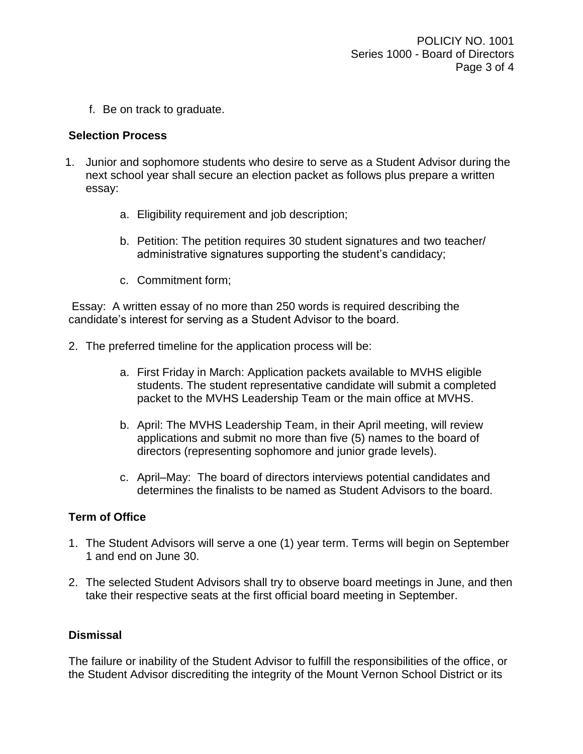f. Be on track to graduate.

## **Selection Process**

- 1. Junior and sophomore students who desire to serve as a Student Advisor during the next school year shall secure an election packet as follows plus prepare a written essay:
	- a. Eligibility requirement and job description;
	- b. Petition: The petition requires 30 student signatures and two teacher/ administrative signatures supporting the student's candidacy;
	- c. Commitment form;

Essay: A written essay of no more than 250 words is required describing the candidate's interest for serving as a Student Advisor to the board.

- 2. The preferred timeline for the application process will be:
	- a. First Friday in March: Application packets available to MVHS eligible students. The student representative candidate will submit a completed packet to the MVHS Leadership Team or the main office at MVHS.
	- b. April: The MVHS Leadership Team, in their April meeting, will review applications and submit no more than five (5) names to the board of directors (representing sophomore and junior grade levels).
	- c. April–May: The board of directors interviews potential candidates and determines the finalists to be named as Student Advisors to the board.

# **Term of Office**

- 1. The Student Advisors will serve a one (1) year term. Terms will begin on September 1 and end on June 30.
- 2. The selected Student Advisors shall try to observe board meetings in June, and then take their respective seats at the first official board meeting in September.

#### **Dismissal**

The failure or inability of the Student Advisor to fulfill the responsibilities of the office, or the Student Advisor discrediting the integrity of the Mount Vernon School District or its